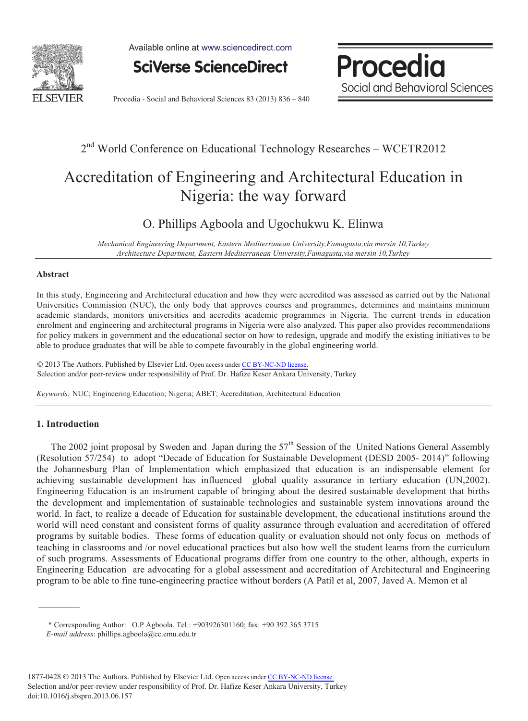

Available online at www.sciencedirect.com

**SciVerse ScienceDirect** 



Procedia - Social and Behavioral Sciences 83 (2013) 836 – 840

### 2<sup>nd</sup> World Conference on Educational Technology Researches - WCETR2012

# Accreditation of Engineering and Architectural Education in Nigeria: the way forward

### O. Phillips Agboola and Ugochukwu K. Elinwa

*Mechanical Engineering Department, Eastern Mediterranean University,Famagusta,via mersin 10,Turkey Architecture Department, Eastern Mediterranean University,Famagusta,via mersin 10,Turkey* 

#### **Abstract**

In this study, Engineering and Architectural education and how they were accredited was assessed as carried out by the National Universities Commission (NUC), the only body that approves courses and programmes, determines and maintains minimum academic standards, monitors universities and accredits academic programmes in Nigeria. The current trends in education enrolment and engineering and architectural programs in Nigeria were also analyzed. This paper also provides recommendations for policy makers in government and the educational sector on how to redesign, upgrade and modify the existing initiatives to be able to produce graduates that will be able to compete favourably in the global engineering world.

© 2013 The Authors. Published by Elsevier Ltd. Open access under [CC BY-NC-ND license.](http://creativecommons.org/licenses/by-nc-nd/3.0/) Selection and/or peer-review under responsibility of Prof. Dr. Hafize Keser Ankara University, Turkey

*Keywords:* NUC; Engineering Education; Nigeria; ABET; Accreditation, Architectural Education

#### **1. Introduction**

The 2002 joint proposal by Sweden and Japan during the  $57<sup>th</sup>$  Session of the United Nations General Assembly (Resolution 57/254) to adopt "Decade of Education for Sustainable Development (DESD 2005- 2014)" following the Johannesburg Plan of Implementation which emphasized that education is an indispensable element for achieving sustainable development has influenced global quality assurance in tertiary education (UN,2002). Engineering Education is an instrument capable of bringing about the desired sustainable development that births the development and implementation of sustainable technologies and sustainable system innovations around the world. In fact, to realize a decade of Education for sustainable development, the educational institutions around the world will need constant and consistent forms of quality assurance through evaluation and accreditation of offered programs by suitable bodies. These forms of education quality or evaluation should not only focus on methods of teaching in classrooms and /or novel educational practices but also how well the student learns from the curriculum of such programs. Assessments of Educational programs differ from one country to the other, although, experts in Engineering Education are advocating for a global assessment and accreditation of Architectural and Engineering program to be able to fine tune-engineering practice without borders (A Patil et al, 2007, Javed A. Memon et al

<sup>\*</sup> Corresponding Author: O.P Agboola. Tel.: +903926301160; fax: +90 392 365 3715  *E-mail address*: phillips.agboola@cc.emu.edu.tr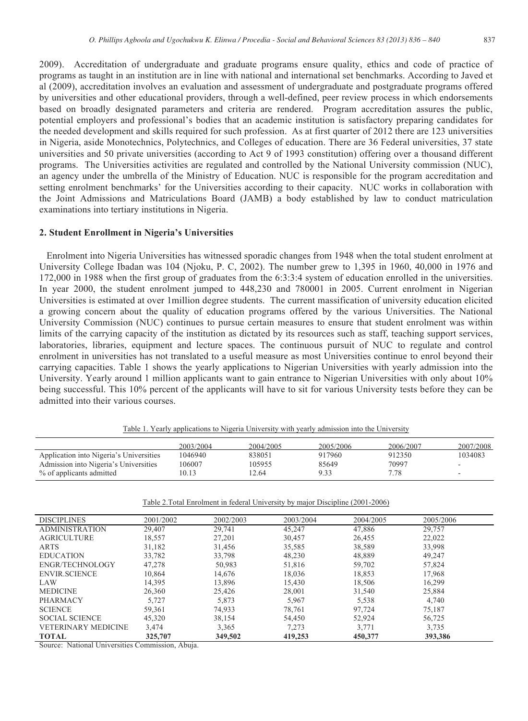2009). Accreditation of undergraduate and graduate programs ensure quality, ethics and code of practice of programs as taught in an institution are in line with national and international set benchmarks. According to Javed et al (2009), accreditation involves an evaluation and assessment of undergraduate and postgraduate programs offered by universities and other educational providers, through a well-defined, peer review process in which endorsements based on broadly designated parameters and criteria are rendered. Program accreditation assures the public, potential employers and professional's bodies that an academic institution is satisfactory preparing candidates for the needed development and skills required for such profession. As at first quarter of 2012 there are 123 universities in Nigeria, aside Monotechnics, Polytechnics, and Colleges of education. There are 36 Federal universities, 37 state universities and 50 private universities (according to Act 9 of 1993 constitution) offering over a thousand different programs. The Universities activities are regulated and controlled by the National University commission (NUC), an agency under the umbrella of the Ministry of Education. NUC is responsible for the program accreditation and setting enrolment benchmarks' for the Universities according to their capacity. NUC works in collaboration with the Joint Admissions and Matriculations Board (JAMB) a body established by law to conduct matriculation examinations into tertiary institutions in Nigeria.

#### **2. Student Enrollment in Nigeria's Universities**

 Enrolment into Nigeria Universities has witnessed sporadic changes from 1948 when the total student enrolment at University College Ibadan was 104 (Njoku, P. C, 2002). The number grew to 1,395 in 1960, 40,000 in 1976 and 172,000 in 1988 when the first group of graduates from the 6:3:3:4 system of education enrolled in the universities. In year 2000, the student enrolment jumped to 448,230 and 780001 in 2005. Current enrolment in Nigerian Universities is estimated at over 1million degree students. The current massification of university education elicited a growing concern about the quality of education programs offered by the various Universities. The National University Commission (NUC) continues to pursue certain measures to ensure that student enrolment was within limits of the carrying capacity of the institution as dictated by its resources such as staff, teaching support services, laboratories, libraries, equipment and lecture spaces. The continuous pursuit of NUC to regulate and control enrolment in universities has not translated to a useful measure as most Universities continue to enrol beyond their carrying capacities. Table 1 shows the yearly applications to Nigerian Universities with yearly admission into the University. Yearly around 1 million applicants want to gain entrance to Nigerian Universities with only about 10% being successful. This 10% percent of the applicants will have to sit for various University tests before they can be admitted into their various courses.

|                                         | 2003/2004 | 2004/2005 | 2005/2006 | 2006/2007 | 2007/2008 |
|-----------------------------------------|-----------|-----------|-----------|-----------|-----------|
| Application into Nigeria's Universities | 1046940   | 838051    | 917960    | 912350    | 1034083   |
| Admission into Nigeria's Universities   | 106007    | 105955    | 85649     | 70997     |           |
| % of applicants admitted                | 10.13     | .2.64     | 9.33      | 7.78      | -         |

Table 1. Yearly applications to Nigeria University with yearly admission into the University

Table 2.Total Enrolment in federal University by major Discipline (2001-2006)

| <b>DISCIPLINES</b>         | 2001/2002 | 2002/2003 | 2003/2004 | 2004/2005 | 2005/2006 |
|----------------------------|-----------|-----------|-----------|-----------|-----------|
| <b>ADMINISTRATION</b>      | 29,407    | 29,741    | 45,247    | 47,886    | 29,757    |
| <b>AGRICULTURE</b>         | 18,557    | 27,201    | 30,457    | 26,455    | 22,022    |
| <b>ARTS</b>                | 31,182    | 31,456    | 35,585    | 38,589    | 33,998    |
| <b>EDUCATION</b>           | 33,782    | 33,798    | 48,230    | 48,889    | 49,247    |
| ENGR/TECHNOLOGY            | 47,278    | 50,983    | 51,816    | 59,702    | 57,824    |
| <b>ENVIR SCIENCE</b>       | 10.864    | 14.676    | 18.036    | 18,853    | 17,968    |
| LAW                        | 14,395    | 13,896    | 15,430    | 18,506    | 16,299    |
| <b>MEDICINE</b>            | 26,360    | 25,426    | 28,001    | 31,540    | 25,884    |
| PHARMACY                   | 5,727     | 5,873     | 5.967     | 5,538     | 4,740     |
| <b>SCIENCE</b>             | 59,361    | 74,933    | 78,761    | 97,724    | 75,187    |
| <b>SOCIAL SCIENCE</b>      | 45.320    | 38,154    | 54.450    | 52.924    | 56,725    |
| <b>VETERINARY MEDICINE</b> | 3,474     | 3,365     | 7,273     | 3,771     | 3,735     |
| <b>TOTAL</b>               | 325,707   | 349,502   | 419,253   | 450,377   | 393,386   |

Source: National Universities Commission, Abuja.